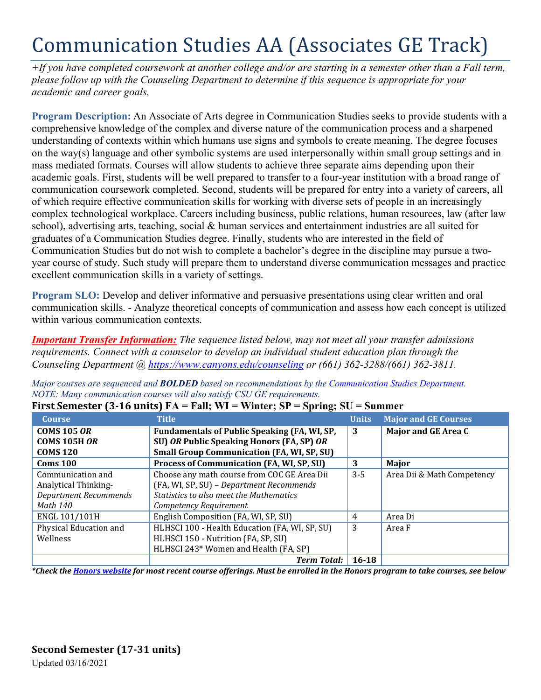# Communication Studies AA (Associates GE Track)

*+If you have completed coursework at another college and/or are starting in a semester other than a Fall term, please follow up with the Counseling Department to determine if this sequence is appropriate for your academic and career goals.* 

**Program Description:** An Associate of Arts degree in Communication Studies seeks to provide students with a comprehensive knowledge of the complex and diverse nature of the communication process and a sharpened understanding of contexts within which humans use signs and symbols to create meaning. The degree focuses on the way(s) language and other symbolic systems are used interpersonally within small group settings and in mass mediated formats. Courses will allow students to achieve three separate aims depending upon their academic goals. First, students will be well prepared to transfer to a four-year institution with a broad range of communication coursework completed. Second, students will be prepared for entry into a variety of careers, all of which require effective communication skills for working with diverse sets of people in an increasingly complex technological workplace. Careers including business, public relations, human resources, law (after law school), advertising arts, teaching, social & human services and entertainment industries are all suited for graduates of a Communication Studies degree. Finally, students who are interested in the field of Communication Studies but do not wish to complete a bachelor's degree in the discipline may pursue a twoyear course of study. Such study will prepare them to understand diverse communication messages and practice excellent communication skills in a variety of settings.

**Program SLO:** Develop and deliver informative and persuasive presentations using clear written and oral communication skills. - Analyze theoretical concepts of communication and assess how each concept is utilized within various communication contexts.

*Important Transfer Information: The sequence listed below, may not meet all your transfer admissions requirements. Connect with a counselor to develop an individual student education plan through the Counseling Department @<https://www.canyons.edu/counseling> or (661) 362-3288/(661) 362-3811.*

*Major courses are sequenced and BOLDED based on recommendations by the Communication [Studies Department.](https://www.canyons.edu/academics/communications/index.php) NOTE: Many communication courses will also satisfy CSU GE requirements.*

| <b>Course</b>                | <b>Title</b>                                        | <b>Units</b> | <b>Major and GE Courses</b> |
|------------------------------|-----------------------------------------------------|--------------|-----------------------------|
| <b>COMS 105 OR</b>           | <b>Fundamentals of Public Speaking (FA, WI, SP,</b> | 3            | Major and GE Area C         |
| <b>COMS 105H OR</b>          | SU) OR Public Speaking Honors (FA, SP) OR           |              |                             |
| <b>COMS 120</b>              | <b>Small Group Communication (FA, WI, SP, SU)</b>   |              |                             |
| <b>Coms 100</b>              | Process of Communication (FA, WI, SP, SU)           | 3            | Major                       |
| Communication and            | Choose any math course from COC GE Area Dii         | $3 - 5$      | Area Dii & Math Competency  |
| Analytical Thinking-         | (FA, WI, SP, SU) - Department Recommends            |              |                             |
| <b>Department Recommends</b> | <b>Statistics to also meet the Mathematics</b>      |              |                             |
| Math 140                     | Competency Requirement                              |              |                             |
| ENGL 101/101H                | English Composition (FA, WI, SP, SU)                | 4            | Area Di                     |
| Physical Education and       | HLHSCI 100 - Health Education (FA, WI, SP, SU)      | 3            | Area F                      |
| Wellness                     | HLHSCI 150 - Nutrition (FA, SP, SU)                 |              |                             |
|                              | HLHSCI 243* Women and Health (FA, SP)               |              |                             |
|                              | <b>Term Total:</b>                                  | $16 - 18$    |                             |

## **First Semester (3-16 units) FA = Fall; WI = Winter; SP = Spring; SU = Summer**

*\*Check the [Honors website](https://www.canyons.edu/academics/honors/index.php) for most recent course offerings. Must be enrolled in the Honors program to take courses, see below*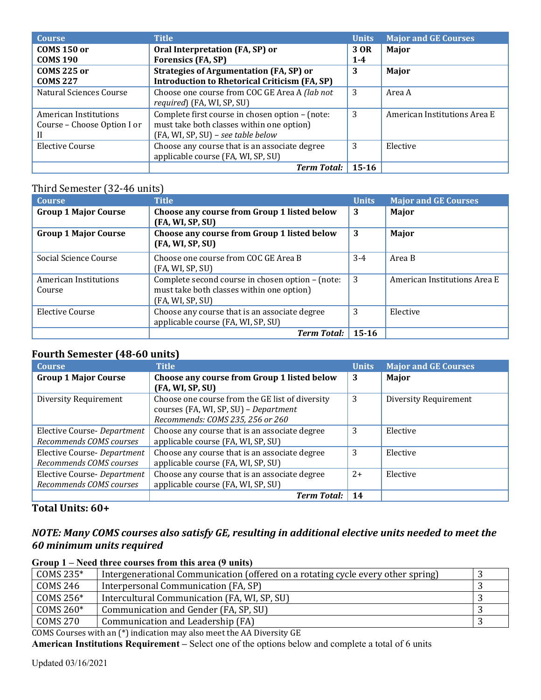| <b>Course</b>               | <b>Title</b>                                         | <b>Units</b> | <b>Major and GE Courses</b>  |
|-----------------------------|------------------------------------------------------|--------------|------------------------------|
| <b>COMS 150 or</b>          | Oral Interpretation (FA, SP) or                      | 3 OR         | Major                        |
| <b>COMS 190</b>             | <b>Forensics (FA, SP)</b>                            | $1 - 4$      |                              |
| <b>COMS 225 or</b>          | <b>Strategies of Argumentation (FA, SP) or</b>       | 3            | Major                        |
| <b>COMS 227</b>             | <b>Introduction to Rhetorical Criticism (FA, SP)</b> |              |                              |
| Natural Sciences Course     | Choose one course from COC GE Area A (lab not        | 3            | Area A                       |
|                             | <i>required</i> ) (FA, WI, SP, SU)                   |              |                              |
| American Institutions       | Complete first course in chosen option - (note:      | 3            | American Institutions Area E |
| Course - Choose Option I or | must take both classes within one option)            |              |                              |
|                             | (FA, WI, SP, SU) - see table below                   |              |                              |
| Elective Course             | Choose any course that is an associate degree        | 3            | Elective                     |
|                             | applicable course (FA, WI, SP, SU)                   |              |                              |
|                             | <b>Term Total:</b>                                   | 15-16        |                              |

# Third Semester (32-46 units)

| <b>Course</b>                   | <b>Title</b>                                                                                                      | <b>Units</b> | <b>Major and GE Courses</b>  |
|---------------------------------|-------------------------------------------------------------------------------------------------------------------|--------------|------------------------------|
| <b>Group 1 Major Course</b>     | Choose any course from Group 1 listed below<br>(FA, WI, SP, SU)                                                   | 3            | Major                        |
| <b>Group 1 Major Course</b>     | Choose any course from Group 1 listed below<br>(FA, WI, SP, SU)                                                   | 3            | Major                        |
| Social Science Course           | Choose one course from COC GE Area B<br>(FA, WI, SP, SU)                                                          | $3-4$        | Area B                       |
| American Institutions<br>Course | Complete second course in chosen option - (note:<br>must take both classes within one option)<br>(FA, WI, SP, SU) | 3            | American Institutions Area E |
| Elective Course                 | Choose any course that is an associate degree<br>applicable course (FA, WI, SP, SU)                               | 3            | Elective                     |
|                                 | Term Total:   $15-16$                                                                                             |              |                              |

# **Fourth Semester (48-60 units)**

| <b>Course</b>               | <b>Title</b>                                    | <b>Units</b> | <b>Major and GE Courses</b>  |
|-----------------------------|-------------------------------------------------|--------------|------------------------------|
| <b>Group 1 Major Course</b> | Choose any course from Group 1 listed below     | 3            | Major                        |
|                             | (FA, WI, SP, SU)                                |              |                              |
| Diversity Requirement       | Choose one course from the GE list of diversity | 3            | <b>Diversity Requirement</b> |
|                             | courses (FA, WI, SP, SU) - Department           |              |                              |
|                             | Recommends: COMS 235, 256 or 260                |              |                              |
| Elective Course- Department | Choose any course that is an associate degree   | 3            | Elective                     |
| Recommends COMS courses     | applicable course (FA, WI, SP, SU)              |              |                              |
| Elective Course- Department | Choose any course that is an associate degree   | 3            | Elective                     |
| Recommends COMS courses     | applicable course (FA, WI, SP, SU)              |              |                              |
| Elective Course- Department | Choose any course that is an associate degree   | $2+$         | Elective                     |
| Recommends COMS courses     | applicable course (FA, WI, SP, SU)              |              |                              |
|                             | <b>Term Total:</b>                              | 14           |                              |

# **Total Units: 60+**

# *NOTE: Many COMS courses also satisfy GE, resulting in additional elective units needed to meet the 60 minimum units required*

#### **Group 1 – Need three courses from this area (9 units)**

| COMS 235*    | Intergenerational Communication (offered on a rotating cycle every other spring) |  |
|--------------|----------------------------------------------------------------------------------|--|
| COMS 246     | Interpersonal Communication (FA, SP)                                             |  |
| COMS 256*    | Intercultural Communication (FA, WI, SP, SU)                                     |  |
| COMS 260 $*$ | Communication and Gender (FA, SP, SU)                                            |  |
| COMS 270     | Communication and Leadership (FA)                                                |  |
| ------       |                                                                                  |  |

COMS Courses with an (\*) indication may also meet the AA Diversity GE

**American Institutions Requirement –** Select one of the options below and complete a total of 6 units